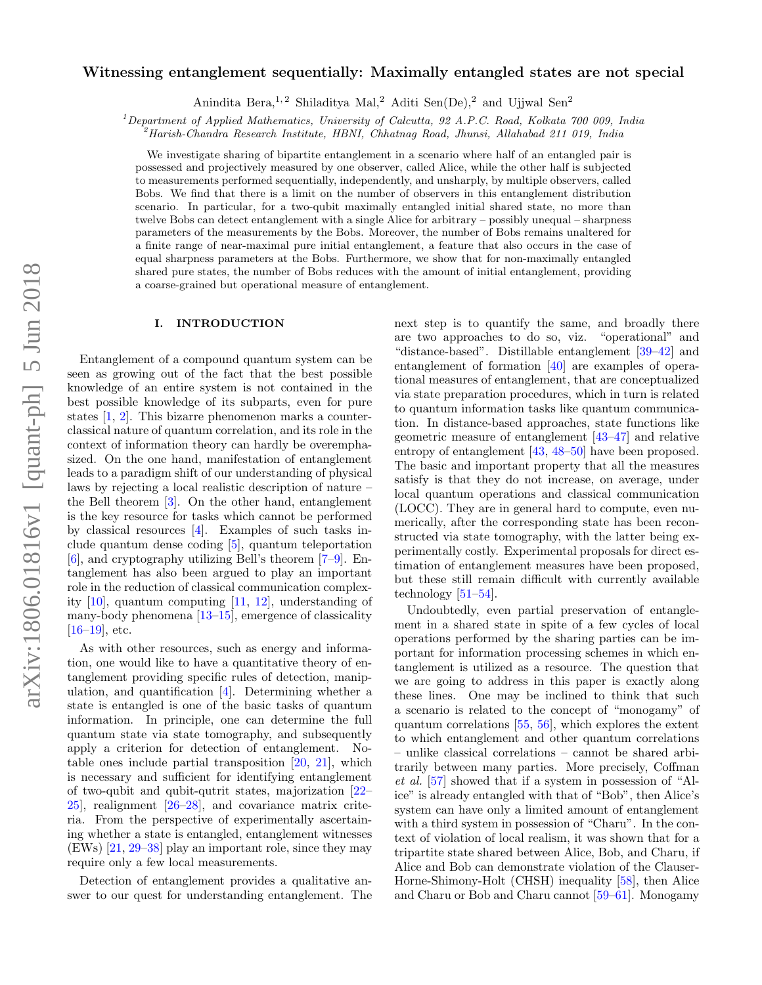# arXiv:1806.01816v1 [quant-ph] 5 Jun 2018 arXiv:1806.01816v1 [quant-ph] 5 Jun 2018

# Witnessing entanglement sequentially: Maximally entangled states are not special

Anindita Bera,<sup>1,2</sup> Shiladitya Mal,<sup>2</sup> Aditi Sen(De),<sup>2</sup> and Ujjwal Sen<sup>2</sup>

<sup>1</sup>Department of Applied Mathematics, University of Calcutta, 92 A.P.C. Road, Kolkata 700 009, India

 $^{2}$ Harish-Chandra Research Institute, HBNI, Chhatnag Road, Jhunsi, Allahabad 211 019, India

We investigate sharing of bipartite entanglement in a scenario where half of an entangled pair is possessed and projectively measured by one observer, called Alice, while the other half is subjected to measurements performed sequentially, independently, and unsharply, by multiple observers, called Bobs. We find that there is a limit on the number of observers in this entanglement distribution scenario. In particular, for a two-qubit maximally entangled initial shared state, no more than twelve Bobs can detect entanglement with a single Alice for arbitrary – possibly unequal – sharpness parameters of the measurements by the Bobs. Moreover, the number of Bobs remains unaltered for a finite range of near-maximal pure initial entanglement, a feature that also occurs in the case of equal sharpness parameters at the Bobs. Furthermore, we show that for non-maximally entangled shared pure states, the number of Bobs reduces with the amount of initial entanglement, providing a coarse-grained but operational measure of entanglement.

## I. INTRODUCTION

Entanglement of a compound quantum system can be seen as growing out of the fact that the best possible knowledge of an entire system is not contained in the best possible knowledge of its subparts, even for pure states [\[1,](#page-7-0) [2\]](#page-7-1). This bizarre phenomenon marks a counterclassical nature of quantum correlation, and its role in the context of information theory can hardly be overemphasized. On the one hand, manifestation of entanglement leads to a paradigm shift of our understanding of physical laws by rejecting a local realistic description of nature – the Bell theorem [\[3\]](#page-7-2). On the other hand, entanglement is the key resource for tasks which cannot be performed by classical resources [\[4\]](#page-7-3). Examples of such tasks include quantum dense coding [\[5\]](#page-7-4), quantum teleportation  $[6]$ , and cryptography utilizing Bell's theorem  $[7-9]$  $[7-9]$ . Entanglement has also been argued to play an important role in the reduction of classical communication complexity [\[10\]](#page-7-8), quantum computing [\[11,](#page-7-9) [12\]](#page-7-10), understanding of many-body phenomena [\[13–](#page-7-11)[15\]](#page-7-12), emergence of classicality  $[16–19]$  $[16–19]$ , etc.

As with other resources, such as energy and information, one would like to have a quantitative theory of entanglement providing specific rules of detection, manipulation, and quantification [\[4\]](#page-7-3). Determining whether a state is entangled is one of the basic tasks of quantum information. In principle, one can determine the full quantum state via state tomography, and subsequently apply a criterion for detection of entanglement. Notable ones include partial transposition [\[20,](#page-7-15) [21\]](#page-7-16), which is necessary and sufficient for identifying entanglement of two-qubit and qubit-qutrit states, majorization [\[22–](#page-7-17) [25\]](#page-7-18), realignment [\[26](#page-7-19)[–28\]](#page-7-20), and covariance matrix criteria. From the perspective of experimentally ascertaining whether a state is entangled, entanglement witnesses (EWs) [\[21,](#page-7-16) [29](#page-7-21)[–38\]](#page-8-0) play an important role, since they may require only a few local measurements.

Detection of entanglement provides a qualitative answer to our quest for understanding entanglement. The next step is to quantify the same, and broadly there are two approaches to do so, viz. "operational" and "distance-based". Distillable entanglement [\[39–](#page-8-1)[42\]](#page-8-2) and entanglement of formation [\[40\]](#page-8-3) are examples of operational measures of entanglement, that are conceptualized via state preparation procedures, which in turn is related to quantum information tasks like quantum communication. In distance-based approaches, state functions like geometric measure of entanglement [\[43–](#page-8-4)[47\]](#page-8-5) and relative entropy of entanglement [\[43,](#page-8-4) [48–](#page-8-6)[50\]](#page-8-7) have been proposed. The basic and important property that all the measures satisfy is that they do not increase, on average, under local quantum operations and classical communication (LOCC). They are in general hard to compute, even numerically, after the corresponding state has been reconstructed via state tomography, with the latter being experimentally costly. Experimental proposals for direct estimation of entanglement measures have been proposed, but these still remain difficult with currently available technology [\[51–](#page-8-8)[54\]](#page-8-9).

Undoubtedly, even partial preservation of entanglement in a shared state in spite of a few cycles of local operations performed by the sharing parties can be important for information processing schemes in which entanglement is utilized as a resource. The question that we are going to address in this paper is exactly along these lines. One may be inclined to think that such a scenario is related to the concept of "monogamy" of quantum correlations [\[55,](#page-8-10) [56\]](#page-8-11), which explores the extent to which entanglement and other quantum correlations – unlike classical correlations – cannot be shared arbitrarily between many parties. More precisely, Coffman et al. [\[57\]](#page-8-12) showed that if a system in possession of "Alice" is already entangled with that of "Bob", then Alice's system can have only a limited amount of entanglement with a third system in possession of "Charu". In the context of violation of local realism, it was shown that for a tripartite state shared between Alice, Bob, and Charu, if Alice and Bob can demonstrate violation of the Clauser-Horne-Shimony-Holt (CHSH) inequality [\[58\]](#page-8-13), then Alice and Charu or Bob and Charu cannot [\[59–](#page-8-14)[61\]](#page-8-15). Monogamy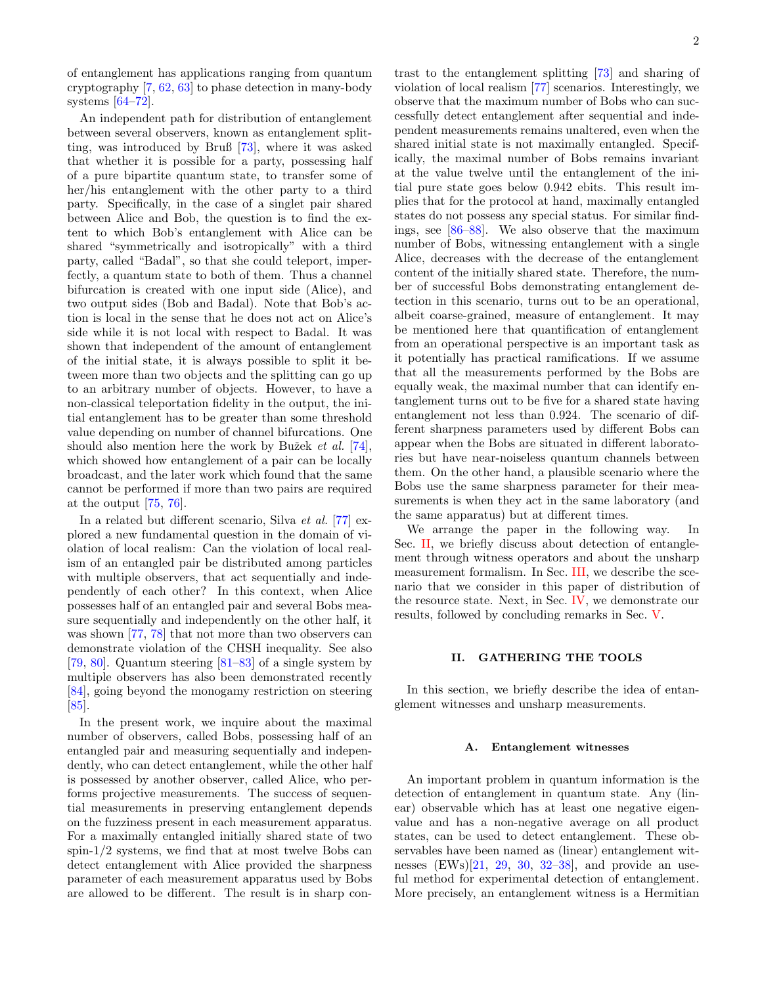of entanglement has applications ranging from quantum cryptography [\[7,](#page-7-6) [62,](#page-8-16) [63\]](#page-8-17) to phase detection in many-body systems [\[64–](#page-8-18)[72\]](#page-8-19).

An independent path for distribution of entanglement between several observers, known as entanglement splitting, was introduced by Bruß [\[73\]](#page-8-20), where it was asked that whether it is possible for a party, possessing half of a pure bipartite quantum state, to transfer some of her/his entanglement with the other party to a third party. Specifically, in the case of a singlet pair shared between Alice and Bob, the question is to find the extent to which Bob's entanglement with Alice can be shared "symmetrically and isotropically" with a third party, called "Badal", so that she could teleport, imperfectly, a quantum state to both of them. Thus a channel bifurcation is created with one input side (Alice), and two output sides (Bob and Badal). Note that Bob's action is local in the sense that he does not act on Alice's side while it is not local with respect to Badal. It was shown that independent of the amount of entanglement of the initial state, it is always possible to split it between more than two objects and the splitting can go up to an arbitrary number of objects. However, to have a non-classical teleportation fidelity in the output, the initial entanglement has to be greater than some threshold value depending on number of channel bifurcations. One should also mention here the work by Bužek *et al.* [\[74\]](#page-8-21), which showed how entanglement of a pair can be locally broadcast, and the later work which found that the same cannot be performed if more than two pairs are required at the output [\[75,](#page-8-22) [76\]](#page-8-23).

In a related but different scenario, Silva et al. [\[77\]](#page-8-24) explored a new fundamental question in the domain of violation of local realism: Can the violation of local realism of an entangled pair be distributed among particles with multiple observers, that act sequentially and independently of each other? In this context, when Alice possesses half of an entangled pair and several Bobs measure sequentially and independently on the other half, it was shown [\[77,](#page-8-24) [78\]](#page-8-25) that not more than two observers can demonstrate violation of the CHSH inequality. See also [\[79,](#page-8-26) [80\]](#page-8-27). Quantum steering [\[81](#page-8-28)[–83\]](#page-8-29) of a single system by multiple observers has also been demonstrated recently [\[84\]](#page-8-30), going beyond the monogamy restriction on steering [\[85\]](#page-8-31).

In the present work, we inquire about the maximal number of observers, called Bobs, possessing half of an entangled pair and measuring sequentially and independently, who can detect entanglement, while the other half is possessed by another observer, called Alice, who performs projective measurements. The success of sequential measurements in preserving entanglement depends on the fuzziness present in each measurement apparatus. For a maximally entangled initially shared state of two spin-1/2 systems, we find that at most twelve Bobs can detect entanglement with Alice provided the sharpness parameter of each measurement apparatus used by Bobs are allowed to be different. The result is in sharp contrast to the entanglement splitting [\[73\]](#page-8-20) and sharing of violation of local realism [\[77\]](#page-8-24) scenarios. Interestingly, we observe that the maximum number of Bobs who can successfully detect entanglement after sequential and independent measurements remains unaltered, even when the shared initial state is not maximally entangled. Specifically, the maximal number of Bobs remains invariant at the value twelve until the entanglement of the initial pure state goes below 0.942 ebits. This result implies that for the protocol at hand, maximally entangled states do not possess any special status. For similar findings, see [\[86](#page-8-32)[–88\]](#page-8-33). We also observe that the maximum number of Bobs, witnessing entanglement with a single Alice, decreases with the decrease of the entanglement content of the initially shared state. Therefore, the number of successful Bobs demonstrating entanglement detection in this scenario, turns out to be an operational, albeit coarse-grained, measure of entanglement. It may be mentioned here that quantification of entanglement from an operational perspective is an important task as it potentially has practical ramifications. If we assume that all the measurements performed by the Bobs are equally weak, the maximal number that can identify entanglement turns out to be five for a shared state having entanglement not less than 0.924. The scenario of different sharpness parameters used by different Bobs can appear when the Bobs are situated in different laboratories but have near-noiseless quantum channels between them. On the other hand, a plausible scenario where the Bobs use the same sharpness parameter for their measurements is when they act in the same laboratory (and the same apparatus) but at different times.

We arrange the paper in the following way. In Sec. [II,](#page-1-0) we briefly discuss about detection of entanglement through witness operators and about the unsharp measurement formalism. In Sec. [III,](#page-3-0) we describe the scenario that we consider in this paper of distribution of the resource state. Next, in Sec. [IV,](#page-4-0) we demonstrate our results, followed by concluding remarks in Sec. [V.](#page-7-22)

# <span id="page-1-0"></span>II. GATHERING THE TOOLS

In this section, we briefly describe the idea of entanglement witnesses and unsharp measurements.

### A. Entanglement witnesses

An important problem in quantum information is the detection of entanglement in quantum state. Any (linear) observable which has at least one negative eigenvalue and has a non-negative average on all product states, can be used to detect entanglement. These observables have been named as (linear) entanglement witnesses  $(EWs)[21, 29, 30, 32-38]$  $(EWs)[21, 29, 30, 32-38]$  $(EWs)[21, 29, 30, 32-38]$  $(EWs)[21, 29, 30, 32-38]$  $(EWs)[21, 29, 30, 32-38]$  $(EWs)[21, 29, 30, 32-38]$  $(EWs)[21, 29, 30, 32-38]$  $(EWs)[21, 29, 30, 32-38]$ , and provide an useful method for experimental detection of entanglement. More precisely, an entanglement witness is a Hermitian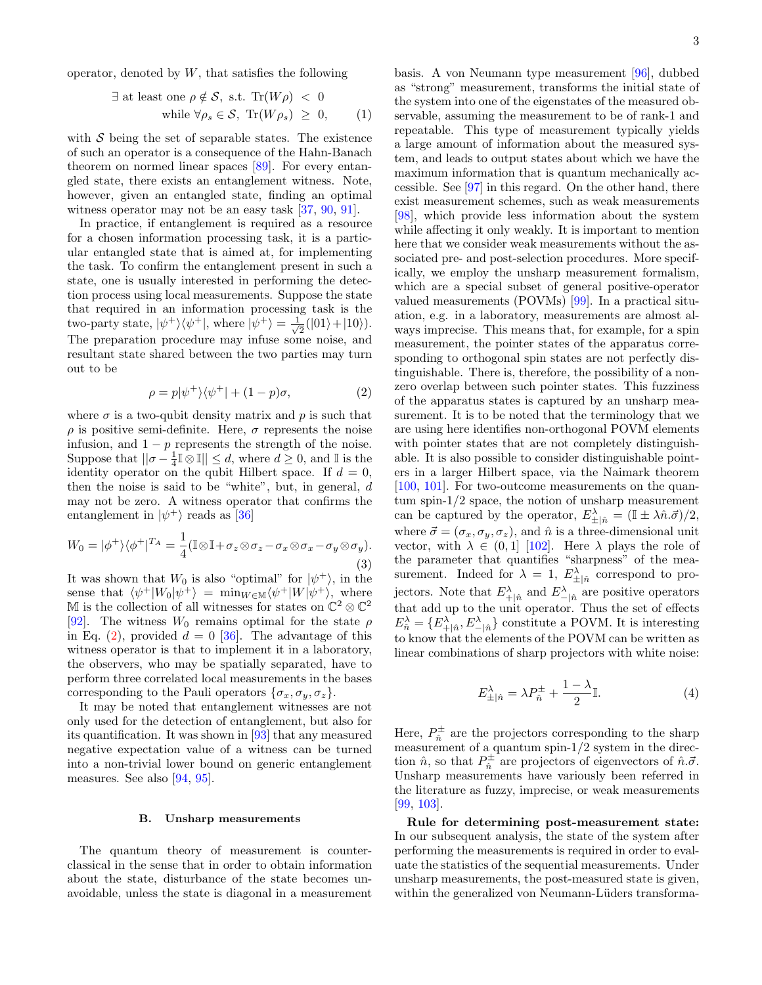operator, denoted by  $W$ , that satisfies the following

$$
\exists \text{ at least one } \rho \notin \mathcal{S}, \text{ s.t. } \text{Tr}(W\rho) < 0
$$
\n
$$
\text{while } \forall \rho_s \in \mathcal{S}, \text{ Tr}(W\rho_s) \geq 0, \qquad (1)
$$

with  $S$  being the set of separable states. The existence of such an operator is a consequence of the Hahn-Banach theorem on normed linear spaces [\[89\]](#page-8-34). For every entangled state, there exists an entanglement witness. Note, however, given an entangled state, finding an optimal witness operator may not be an easy task [\[37,](#page-8-35) [90,](#page-8-36) [91\]](#page-8-37).

In practice, if entanglement is required as a resource for a chosen information processing task, it is a particular entangled state that is aimed at, for implementing the task. To confirm the entanglement present in such a state, one is usually interested in performing the detection process using local measurements. Suppose the state that required in an information processing task is the two-party state,  $|\psi^+\rangle\langle\psi^+|$ , where  $|\psi^+\rangle=\frac{1}{\sqrt{2}}$  $\frac{1}{2}(|01\rangle+|10\rangle).$ The preparation procedure may infuse some noise, and resultant state shared between the two parties may turn out to be

<span id="page-2-0"></span>
$$
\rho = p|\psi^+\rangle\langle\psi^+| + (1-p)\sigma,\tag{2}
$$

where  $\sigma$  is a two-qubit density matrix and p is such that  $\rho$  is positive semi-definite. Here,  $\sigma$  represents the noise infusion, and  $1 - p$  represents the strength of the noise. Suppose that  $||\sigma - \frac{1}{4} \mathbb{I} \otimes \mathbb{I}|| \leq d$ , where  $d \geq 0$ , and  $\mathbb{I}$  is the identity operator on the qubit Hilbert space. If  $d = 0$ , then the noise is said to be "white", but, in general,  $d$ may not be zero. A witness operator that confirms the entanglement in  $|\psi^+\rangle$  reads as [\[36\]](#page-7-25)

<span id="page-2-1"></span>
$$
W_0 = |\phi^+\rangle\langle\phi^+|^{T_A} = \frac{1}{4}(\mathbb{I}\otimes\mathbb{I} + \sigma_z\otimes\sigma_z - \sigma_x\otimes\sigma_x - \sigma_y\otimes\sigma_y).
$$
\n(3)

It was shown that  $W_0$  is also "optimal" for  $|\psi^+\rangle$ , in the sense that  $\langle \psi^+|W_0|\psi^+\rangle = \min_{W \in \mathbb{M}} \langle \psi^+|W|\psi^+\rangle$ , where M is the collection of all witnesses for states on  $\mathbb{C}^2 \otimes \mathbb{C}^2$ [\[92\]](#page-8-38). The witness  $W_0$  remains optimal for the state  $\rho$ in Eq. [\(2\)](#page-2-0), provided  $d = 0$  [\[36\]](#page-7-25). The advantage of this witness operator is that to implement it in a laboratory, the observers, who may be spatially separated, have to perform three correlated local measurements in the bases corresponding to the Pauli operators  $\{\sigma_x, \sigma_y, \sigma_z\}.$ 

It may be noted that entanglement witnesses are not only used for the detection of entanglement, but also for its quantification. It was shown in [\[93\]](#page-8-39) that any measured negative expectation value of a witness can be turned into a non-trivial lower bound on generic entanglement measures. See also [\[94,](#page-8-40) [95\]](#page-8-41).

### B. Unsharp measurements

The quantum theory of measurement is counterclassical in the sense that in order to obtain information about the state, disturbance of the state becomes unavoidable, unless the state is diagonal in a measurement

basis. A von Neumann type measurement [\[96\]](#page-8-42), dubbed as "strong" measurement, transforms the initial state of the system into one of the eigenstates of the measured observable, assuming the measurement to be of rank-1 and repeatable. This type of measurement typically yields a large amount of information about the measured system, and leads to output states about which we have the maximum information that is quantum mechanically accessible. See [\[97\]](#page-8-43) in this regard. On the other hand, there exist measurement schemes, such as weak measurements [\[98\]](#page-8-44), which provide less information about the system while affecting it only weakly. It is important to mention here that we consider weak measurements without the associated pre- and post-selection procedures. More specifically, we employ the unsharp measurement formalism, which are a special subset of general positive-operator valued measurements (POVMs) [\[99\]](#page-8-45). In a practical situation, e.g. in a laboratory, measurements are almost always imprecise. This means that, for example, for a spin measurement, the pointer states of the apparatus corresponding to orthogonal spin states are not perfectly distinguishable. There is, therefore, the possibility of a nonzero overlap between such pointer states. This fuzziness of the apparatus states is captured by an unsharp measurement. It is to be noted that the terminology that we are using here identifies non-orthogonal POVM elements with pointer states that are not completely distinguishable. It is also possible to consider distinguishable pointers in a larger Hilbert space, via the Naimark theorem [\[100,](#page-8-46) [101\]](#page-9-0). For two-outcome measurements on the quantum spin-1/2 space, the notion of unsharp measurement can be captured by the operator,  $E^{\lambda}_{\pm|\hat{n}} = (\mathbb{I} \pm \lambda \hat{n} \cdot \vec{\sigma})/2$ , where  $\vec{\sigma} = (\sigma_x, \sigma_y, \sigma_z)$ , and  $\hat{n}$  is a three-dimensional unit vector, with  $\lambda \in (0,1]$  [\[102\]](#page-9-1). Here  $\lambda$  plays the role of the parameter that quantifies "sharpness" of the measurement. Indeed for  $\lambda = 1$ ,  $E^{\lambda}_{\pm|\hat{n}}$  correspond to projectors. Note that  $E^{\lambda}_{+|\hat{n}}$  and  $E^{\lambda}_{-|\hat{n}}$  are positive operators that add up to the unit operator. Thus the set of effects  $E_{\hat{n}}^{\lambda} = \{ E_{+|\hat{n}}^{\lambda}, E_{-|\hat{n}}^{\lambda} \}$  constitute a POVM. It is interesting to know that the elements of the POVM can be written as linear combinations of sharp projectors with white noise:

$$
E_{\pm|\hat{n}}^{\lambda} = \lambda P_{\hat{n}}^{\pm} + \frac{1-\lambda}{2} \mathbb{I}.
$$
 (4)

Here,  $P_{\hat{n}}^{\pm}$  are the projectors corresponding to the sharp measurement of a quantum spin- $1/2$  system in the direction  $\hat{n}$ , so that  $P_{\hat{n}}^{\pm}$  are projectors of eigenvectors of  $\hat{n}.\vec{\sigma}$ . Unsharp measurements have variously been referred in the literature as fuzzy, imprecise, or weak measurements [\[99,](#page-8-45) [103\]](#page-9-2).

Rule for determining post-measurement state: In our subsequent analysis, the state of the system after performing the measurements is required in order to evaluate the statistics of the sequential measurements. Under unsharp measurements, the post-measured state is given, within the generalized von Neumann-Lüders transforma-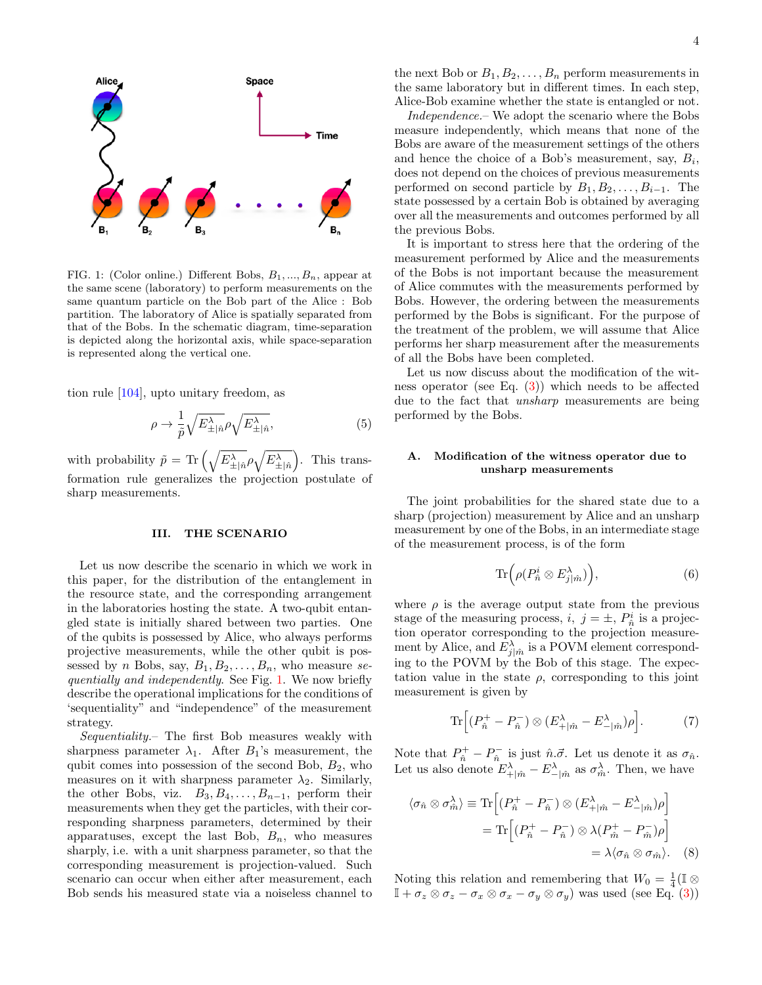

<span id="page-3-1"></span>FIG. 1: (Color online.) Different Bobs,  $B_1, ..., B_n$ , appear at the same scene (laboratory) to perform measurements on the same quantum particle on the Bob part of the Alice : Bob partition. The laboratory of Alice is spatially separated from that of the Bobs. In the schematic diagram, time-separation is depicted along the horizontal axis, while space-separation is represented along the vertical one.

tion rule [\[104\]](#page-9-3), upto unitary freedom, as

$$
\rho \to \frac{1}{\tilde{p}} \sqrt{E_{\pm | \hat{n}}^{\lambda}} \rho \sqrt{E_{\pm | \hat{n}}^{\lambda}}, \tag{5}
$$

with probability  $\tilde{p} = \text{Tr}\left(\sqrt{E_{\pm}^{\lambda}}_{\hat{p}} \rho \sqrt{E_{\pm}^{\lambda}}\right)$ . This transformation rule generalizes the projection postulate of sharp measurements.

### <span id="page-3-0"></span>III. THE SCENARIO

Let us now describe the scenario in which we work in this paper, for the distribution of the entanglement in the resource state, and the corresponding arrangement in the laboratories hosting the state. A two-qubit entangled state is initially shared between two parties. One of the qubits is possessed by Alice, who always performs projective measurements, while the other qubit is possessed by *n* Bobs, say,  $B_1, B_2, \ldots, B_n$ , who measure se-quentially and independently. See Fig. [1.](#page-3-1) We now briefly describe the operational implications for the conditions of 'sequentiality" and "independence" of the measurement strategy.

Sequentiality.– The first Bob measures weakly with sharpness parameter  $\lambda_1$ . After  $B_1$ 's measurement, the qubit comes into possession of the second Bob,  $B_2$ , who measures on it with sharpness parameter  $\lambda_2$ . Similarly, the other Bobs, viz.  $B_3, B_4, \ldots, B_{n-1}$ , perform their measurements when they get the particles, with their corresponding sharpness parameters, determined by their apparatuses, except the last Bob,  $B_n$ , who measures sharply, i.e. with a unit sharpness parameter, so that the corresponding measurement is projection-valued. Such scenario can occur when either after measurement, each Bob sends his measured state via a noiseless channel to

the next Bob or  $B_1, B_2, \ldots, B_n$  perform measurements in the same laboratory but in different times. In each step, Alice-Bob examine whether the state is entangled or not.

Independence.– We adopt the scenario where the Bobs measure independently, which means that none of the Bobs are aware of the measurement settings of the others and hence the choice of a Bob's measurement, say,  $B_i$ , does not depend on the choices of previous measurements performed on second particle by  $B_1, B_2, \ldots, B_{i-1}$ . The state possessed by a certain Bob is obtained by averaging over all the measurements and outcomes performed by all the previous Bobs.

It is important to stress here that the ordering of the measurement performed by Alice and the measurements of the Bobs is not important because the measurement of Alice commutes with the measurements performed by Bobs. However, the ordering between the measurements performed by the Bobs is significant. For the purpose of the treatment of the problem, we will assume that Alice performs her sharp measurement after the measurements of all the Bobs have been completed.

Let us now discuss about the modification of the witness operator (see Eq. [\(3\)](#page-2-1)) which needs to be affected due to the fact that *unsharp* measurements are being performed by the Bobs.

# A. Modification of the witness operator due to unsharp measurements

The joint probabilities for the shared state due to a sharp (projection) measurement by Alice and an unsharp measurement by one of the Bobs, in an intermediate stage of the measurement process, is of the form

$$
\operatorname{Tr}\Bigl(\rho(P^i_{\hat{n}}\otimes E^{\lambda}_{j|\hat{m}})\Bigr),\tag{6}
$$

where  $\rho$  is the average output state from the previous stage of the measuring process,  $i, j = \pm, P^i_{\hat{n}}$  is a projection operator corresponding to the projection measurement by Alice, and  $E_{j|\hat{m}}^{\lambda}$  is a POVM element corresponding to the POVM by the Bob of this stage. The expectation value in the state  $\rho$ , corresponding to this joint measurement is given by

$$
\operatorname{Tr}\left[ (P_{\hat{n}}^+ - P_{\hat{n}}^-) \otimes (E_{+|\hat{m}}^\lambda - E_{-|\hat{m}}^\lambda) \rho \right]. \tag{7}
$$

Note that  $P_{\hat{n}}^+ - P_{\hat{n}}^-$  is just  $\hat{n}.\vec{\sigma}$ . Let us denote it as  $\sigma_{\hat{n}}$ . Let us also denote  $E^{\lambda}_{+\mid \hat{m}} - E^{\lambda}_{-\mid \hat{m}}$  as  $\sigma^{\lambda}_{\hat{m}}$ . Then, we have

$$
\langle \sigma_{\hat{n}} \otimes \sigma_{\hat{m}}^{\lambda} \rangle \equiv \text{Tr} \left[ (P_{\hat{n}}^{+} - P_{\hat{n}}^{-}) \otimes (E_{+|\hat{m}}^{\lambda} - E_{-|\hat{m}}^{\lambda}) \rho \right]
$$

$$
= \text{Tr} \left[ (P_{\hat{n}}^{+} - P_{\hat{n}}^{-}) \otimes \lambda (P_{\hat{m}}^{+} - P_{\hat{m}}^{-}) \rho \right]
$$

$$
= \lambda \langle \sigma_{\hat{n}} \otimes \sigma_{\hat{m}} \rangle. \quad (8)
$$

Noting this relation and remembering that  $W_0 = \frac{1}{4}(\mathbb{I} \otimes$  $\mathbb{I} + \sigma_z \otimes \sigma_z - \sigma_x \otimes \sigma_x - \sigma_y \otimes \sigma_y$  was used (see Eq. [\(3\)](#page-2-1))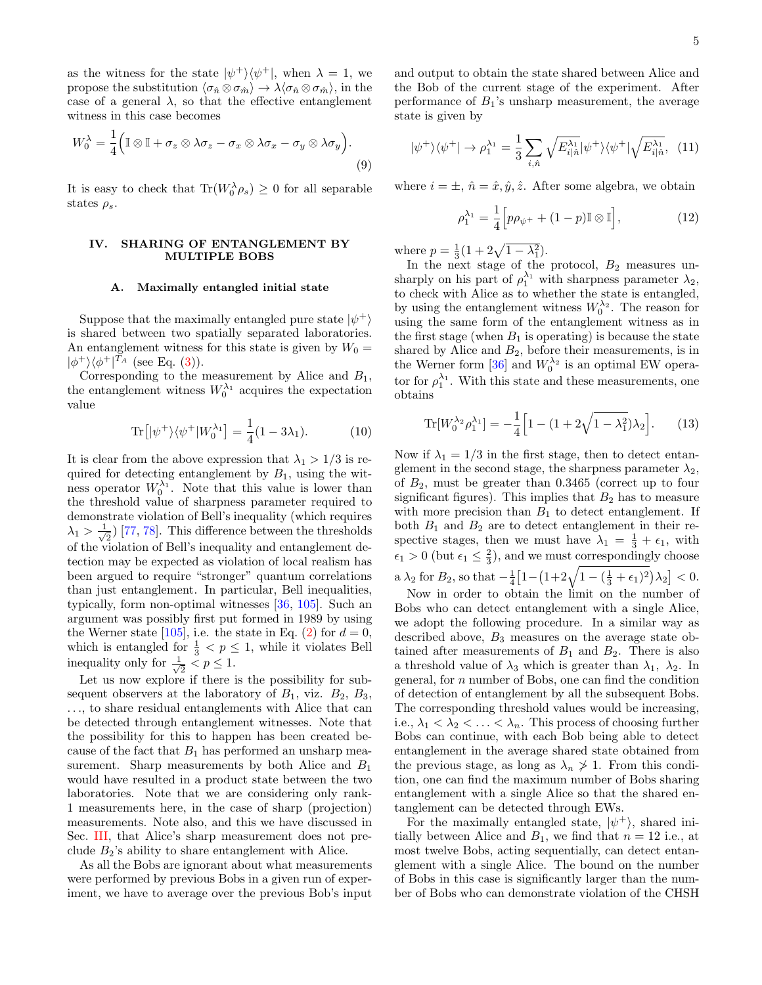as the witness for the state  $|\psi^+\rangle\langle\psi^+|$ , when  $\lambda = 1$ , we propose the substitution  $\langle \sigma_{\hat{n}} \otimes \sigma_{\hat{m}} \rangle \rightarrow \lambda \langle \sigma_{\hat{n}} \otimes \sigma_{\hat{m}} \rangle$ , in the case of a general  $\lambda$ , so that the effective entanglement witness in this case becomes

$$
W_0^{\lambda} = \frac{1}{4} \Big( \mathbb{I} \otimes \mathbb{I} + \sigma_z \otimes \lambda \sigma_z - \sigma_x \otimes \lambda \sigma_x - \sigma_y \otimes \lambda \sigma_y \Big).
$$
\n(9)

It is easy to check that  $\text{Tr}(W_0^{\lambda} \rho_s) \geq 0$  for all separable states  $\rho_s$ .

# <span id="page-4-0"></span>IV. SHARING OF ENTANGLEMENT BY MULTIPLE BOBS

### A. Maximally entangled initial state

Suppose that the maximally entangled pure state  $|\psi^+\rangle$ is shared between two spatially separated laboratories. An entanglement witness for this state is given by  $W_0 =$  $|\phi^+\rangle\langle\phi^+|^{T_A}$  (see Eq. [\(3\)](#page-2-1)).

Corresponding to the measurement by Alice and  $B_1$ , the entanglement witness  $W_0^{\lambda_1}$  acquires the expectation value

$$
\text{Tr}\left[|\psi^+\rangle\langle\psi^+|W_0^{\lambda_1}\right] = \frac{1}{4}(1 - 3\lambda_1). \tag{10}
$$

It is clear from the above expression that  $\lambda_1 > 1/3$  is required for detecting entanglement by  $B_1$ , using the witness operator  $W_0^{\lambda_1}$ . Note that this value is lower than the threshold value of sharpness parameter required to demonstrate violation of Bell's inequality (which requires  $\lambda_1 > \frac{1}{\sqrt{2}}$  $\frac{1}{2}$  [\[77,](#page-8-24) [78\]](#page-8-25). This difference between the thresholds of the violation of Bell's inequality and entanglement detection may be expected as violation of local realism has been argued to require "stronger" quantum correlations than just entanglement. In particular, Bell inequalities, typically, form non-optimal witnesses [\[36,](#page-7-25) [105\]](#page-9-4). Such an argument was possibly first put formed in 1989 by using the Werner state [\[105\]](#page-9-4), i.e. the state in Eq. [\(2\)](#page-2-0) for  $d = 0$ , which is entangled for  $\frac{1}{3} < p \leq 1$ , while it violates Bell inequality only for  $\frac{1}{\sqrt{2}}$  $\frac{1}{2}$  <  $p \leq 1$ .

Let us now explore if there is the possibility for subsequent observers at the laboratory of  $B_1$ , viz.  $B_2$ ,  $B_3$ , ..., to share residual entanglements with Alice that can be detected through entanglement witnesses. Note that the possibility for this to happen has been created because of the fact that  $B_1$  has performed an unsharp measurement. Sharp measurements by both Alice and  $B_1$ would have resulted in a product state between the two laboratories. Note that we are considering only rank-1 measurements here, in the case of sharp (projection) measurements. Note also, and this we have discussed in Sec. [III,](#page-3-0) that Alice's sharp measurement does not preclude  $B_2$ 's ability to share entanglement with Alice.

As all the Bobs are ignorant about what measurements were performed by previous Bobs in a given run of experiment, we have to average over the previous Bob's input and output to obtain the state shared between Alice and the Bob of the current stage of the experiment. After performance of  $B_1$ 's unsharp measurement, the average state is given by

$$
|\psi^{+}\rangle\langle\psi^{+}| \rightarrow \rho_{1}^{\lambda_{1}} = \frac{1}{3} \sum_{i,\hat{n}} \sqrt{E_{i|\hat{n}}^{\lambda_{1}}} |\psi^{+}\rangle\langle\psi^{+}| \sqrt{E_{i|\hat{n}}^{\lambda_{1}}}, \quad (11)
$$

where  $i = \pm, \hat{n} = \hat{x}, \hat{y}, \hat{z}$ . After some algebra, we obtain

$$
\rho_1^{\lambda_1} = \frac{1}{4} \Big[ p \rho_{\psi^+} + (1 - p) \mathbb{I} \otimes \mathbb{I} \Big],\tag{12}
$$

where  $p = \frac{1}{3}(1 + 2\sqrt{1 - \lambda_1^2}).$ 

In the next stage of the protocol,  $B_2$  measures unsharply on his part of  $\rho_1^{\lambda_1}$  with sharpness parameter  $\lambda_2$ , to check with Alice as to whether the state is entangled, by using the entanglement witness  $W_0^{\lambda_2}$ . The reason for using the same form of the entanglement witness as in the first stage (when  $B_1$  is operating) is because the state shared by Alice and  $B_2$ , before their measurements, is in the Werner form [\[36\]](#page-7-25) and  $W_0^{\lambda_2}$  is an optimal EW operator for  $\rho_1^{\lambda_1}$ . With this state and these measurements, one obtains

$$
\text{Tr}[W_0^{\lambda_2} \rho_1^{\lambda_1}] = -\frac{1}{4} \Big[ 1 - (1 + 2\sqrt{1 - \lambda_1^2}) \lambda_2 \Big]. \tag{13}
$$

Now if  $\lambda_1 = 1/3$  in the first stage, then to detect entanglement in the second stage, the sharpness parameter  $\lambda_2$ , of  $B_2$ , must be greater than 0.3465 (correct up to four significant figures). This implies that  $B_2$  has to measure with more precision than  $B_1$  to detect entanglement. If both  $B_1$  and  $B_2$  are to detect entanglement in their respective stages, then we must have  $\lambda_1 = \frac{1}{3} + \epsilon_1$ , with  $\epsilon_1 > 0$  (but  $\epsilon_1 \leq \frac{2}{3}$ ), and we must correspondingly choose a  $\lambda_2$  for  $B_2$ , so that  $-\frac{1}{4} \left[ 1 - \left( 1 + 2\sqrt{1 - (\frac{1}{3} + \epsilon_1)^2} \right) \lambda_2 \right] < 0$ .

Now in order to obtain the limit on the number of Bobs who can detect entanglement with a single Alice, we adopt the following procedure. In a similar way as described above,  $B_3$  measures on the average state obtained after measurements of  $B_1$  and  $B_2$ . There is also a threshold value of  $\lambda_3$  which is greater than  $\lambda_1$ ,  $\lambda_2$ . In general, for n number of Bobs, one can find the condition of detection of entanglement by all the subsequent Bobs. The corresponding threshold values would be increasing, i.e.,  $\lambda_1 < \lambda_2 < \ldots < \lambda_n$ . This process of choosing further Bobs can continue, with each Bob being able to detect entanglement in the average shared state obtained from the previous stage, as long as  $\lambda_n \geq 1$ . From this condition, one can find the maximum number of Bobs sharing entanglement with a single Alice so that the shared entanglement can be detected through EWs.

For the maximally entangled state,  $|\psi^+\rangle$ , shared initially between Alice and  $B_1$ , we find that  $n = 12$  i.e., at most twelve Bobs, acting sequentially, can detect entanglement with a single Alice. The bound on the number of Bobs in this case is significantly larger than the number of Bobs who can demonstrate violation of the CHSH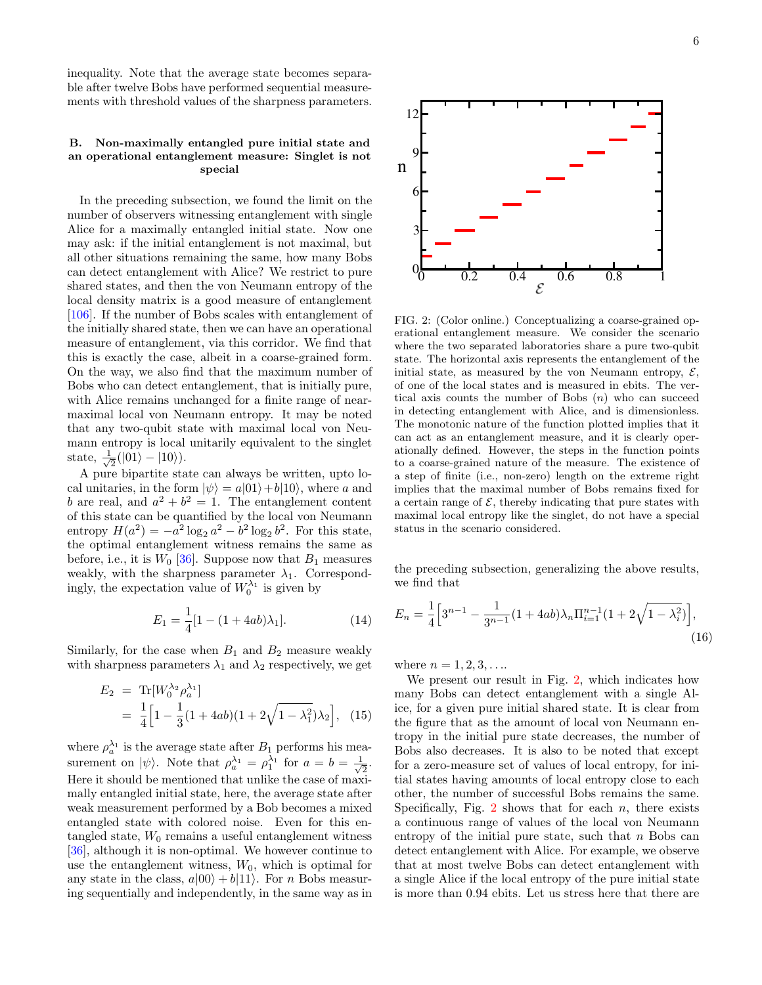inequality. Note that the average state becomes separable after twelve Bobs have performed sequential measurements with threshold values of the sharpness parameters.

# B. Non-maximally entangled pure initial state and an operational entanglement measure: Singlet is not special

In the preceding subsection, we found the limit on the number of observers witnessing entanglement with single Alice for a maximally entangled initial state. Now one may ask: if the initial entanglement is not maximal, but all other situations remaining the same, how many Bobs can detect entanglement with Alice? We restrict to pure shared states, and then the von Neumann entropy of the local density matrix is a good measure of entanglement [\[106\]](#page-9-5). If the number of Bobs scales with entanglement of the initially shared state, then we can have an operational measure of entanglement, via this corridor. We find that this is exactly the case, albeit in a coarse-grained form. On the way, we also find that the maximum number of Bobs who can detect entanglement, that is initially pure, with Alice remains unchanged for a finite range of nearmaximal local von Neumann entropy. It may be noted that any two-qubit state with maximal local von Neumann entropy is local unitarily equivalent to the singlet state,  $\frac{1}{\sqrt{2}}$  $\frac{1}{2}(|01\rangle - |10\rangle).$ 

A pure bipartite state can always be written, upto local unitaries, in the form  $|\psi\rangle = a|01\rangle + b|10\rangle$ , where a and b are real, and  $a^2 + b^2 = 1$ . The entanglement content of this state can be quantified by the local von Neumann entropy  $H(a^2) = -a^2 \log_2 a^2 - b^2 \log_2 b^2$ . For this state, the optimal entanglement witness remains the same as before, i.e., it is  $W_0$  [\[36\]](#page-7-25). Suppose now that  $B_1$  measures weakly, with the sharpness parameter  $\lambda_1$ . Correspondingly, the expectation value of  $W_0^{\lambda_1}$  is given by

$$
E_1 = \frac{1}{4} [1 - (1 + 4ab)\lambda_1]. \tag{14}
$$

Similarly, for the case when  $B_1$  and  $B_2$  measure weakly with sharpness parameters  $\lambda_1$  and  $\lambda_2$  respectively, we get

$$
E_2 = \text{Tr}[W_0^{\lambda_2} \rho_a^{\lambda_1}]
$$
  
=  $\frac{1}{4} \Big[ 1 - \frac{1}{3} (1 + 4ab)(1 + 2\sqrt{1 - \lambda_1^2}) \lambda_2 \Big],$  (15)

where  $\rho_a^{\lambda_1}$  is the average state after  $B_1$  performs his measurement on  $|\psi\rangle$ . Note that  $\rho_a^{\lambda_1} = \rho_1^{\lambda_1}$  for  $a = b = \frac{1}{\sqrt{2}}$  $\frac{1}{2}$ . Here it should be mentioned that unlike the case of maximally entangled initial state, here, the average state after weak measurement performed by a Bob becomes a mixed entangled state with colored noise. Even for this entangled state,  $W_0$  remains a useful entanglement witness [\[36\]](#page-7-25), although it is non-optimal. We however continue to use the entanglement witness,  $W_0$ , which is optimal for any state in the class,  $a|00\rangle + b|11\rangle$ . For *n* Bobs measuring sequentially and independently, in the same way as in



<span id="page-5-0"></span>FIG. 2: (Color online.) Conceptualizing a coarse-grained operational entanglement measure. We consider the scenario where the two separated laboratories share a pure two-qubit state. The horizontal axis represents the entanglement of the initial state, as measured by the von Neumann entropy,  $\mathcal{E}$ , of one of the local states and is measured in ebits. The vertical axis counts the number of Bobs  $(n)$  who can succeed in detecting entanglement with Alice, and is dimensionless. The monotonic nature of the function plotted implies that it can act as an entanglement measure, and it is clearly operationally defined. However, the steps in the function points to a coarse-grained nature of the measure. The existence of a step of finite (i.e., non-zero) length on the extreme right implies that the maximal number of Bobs remains fixed for a certain range of  $\mathcal E$ , thereby indicating that pure states with maximal local entropy like the singlet, do not have a special status in the scenario considered.

 $0 \begin{array}{cccccccc} 0 & 0 & 0.2 & 0.4 & 0.6 & 0.8 & 1 \end{array}$ 

the preceding subsection, generalizing the above results, we find that

$$
E_n = \frac{1}{4} \Big[ 3^{n-1} - \frac{1}{3^{n-1}} (1 + 4ab) \lambda_n \Pi_{i=1}^{n-1} (1 + 2\sqrt{1 - \lambda_i^2}) \Big],
$$
\n(16)

where  $n = 1, 2, 3, \ldots$ 

3H

6L

ջ|-

12

n

We present our result in Fig. [2,](#page-5-0) which indicates how many Bobs can detect entanglement with a single Alice, for a given pure initial shared state. It is clear from the figure that as the amount of local von Neumann entropy in the initial pure state decreases, the number of Bobs also decreases. It is also to be noted that except for a zero-measure set of values of local entropy, for initial states having amounts of local entropy close to each other, the number of successful Bobs remains the same. Specifically, Fig.  $2$  shows that for each  $n$ , there exists a continuous range of values of the local von Neumann entropy of the initial pure state, such that  $n$  Bobs can detect entanglement with Alice. For example, we observe that at most twelve Bobs can detect entanglement with a single Alice if the local entropy of the pure initial state is more than 0.94 ebits. Let us stress here that there are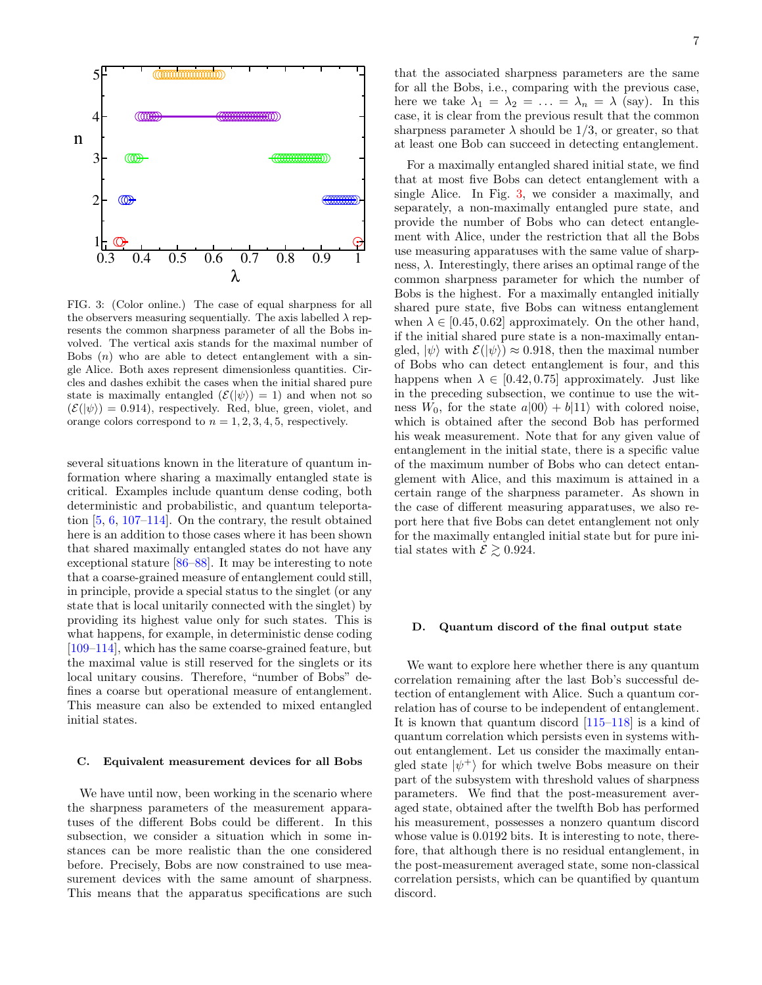

<span id="page-6-0"></span>FIG. 3: (Color online.) The case of equal sharpness for all the observers measuring sequentially. The axis labelled  $\lambda$  represents the common sharpness parameter of all the Bobs involved. The vertical axis stands for the maximal number of Bobs  $(n)$  who are able to detect entanglement with a single Alice. Both axes represent dimensionless quantities. Circles and dashes exhibit the cases when the initial shared pure state is maximally entangled  $(\mathcal{E}(|\psi\rangle) = 1)$  and when not so  $(\mathcal{E}(|\psi\rangle) = 0.914)$ , respectively. Red, blue, green, violet, and orange colors correspond to  $n = 1, 2, 3, 4, 5$ , respectively.

several situations known in the literature of quantum information where sharing a maximally entangled state is critical. Examples include quantum dense coding, both deterministic and probabilistic, and quantum teleportation [\[5,](#page-7-4) [6,](#page-7-5) [107](#page-9-6)[–114\]](#page-9-7). On the contrary, the result obtained here is an addition to those cases where it has been shown that shared maximally entangled states do not have any exceptional stature [\[86–](#page-8-32)[88\]](#page-8-33). It may be interesting to note that a coarse-grained measure of entanglement could still, in principle, provide a special status to the singlet (or any state that is local unitarily connected with the singlet) by providing its highest value only for such states. This is what happens, for example, in deterministic dense coding [\[109–](#page-9-8)[114\]](#page-9-7), which has the same coarse-grained feature, but the maximal value is still reserved for the singlets or its local unitary cousins. Therefore, "number of Bobs" defines a coarse but operational measure of entanglement. This measure can also be extended to mixed entangled initial states.

### C. Equivalent measurement devices for all Bobs

We have until now, been working in the scenario where the sharpness parameters of the measurement apparatuses of the different Bobs could be different. In this subsection, we consider a situation which in some instances can be more realistic than the one considered before. Precisely, Bobs are now constrained to use measurement devices with the same amount of sharpness. This means that the apparatus specifications are such

that the associated sharpness parameters are the same for all the Bobs, i.e., comparing with the previous case, here we take  $\lambda_1 = \lambda_2 = \ldots = \lambda_n = \lambda$  (say). In this case, it is clear from the previous result that the common sharpness parameter  $\lambda$  should be 1/3, or greater, so that at least one Bob can succeed in detecting entanglement.

For a maximally entangled shared initial state, we find that at most five Bobs can detect entanglement with a single Alice. In Fig. [3,](#page-6-0) we consider a maximally, and separately, a non-maximally entangled pure state, and provide the number of Bobs who can detect entanglement with Alice, under the restriction that all the Bobs use measuring apparatuses with the same value of sharpness,  $\lambda$ . Interestingly, there arises an optimal range of the common sharpness parameter for which the number of Bobs is the highest. For a maximally entangled initially shared pure state, five Bobs can witness entanglement when  $\lambda \in [0.45, 0.62]$  approximately. On the other hand, if the initial shared pure state is a non-maximally entangled,  $|\psi\rangle$  with  $\mathcal{E}(|\psi\rangle) \approx 0.918$ , then the maximal number of Bobs who can detect entanglement is four, and this happens when  $\lambda \in [0.42, 0.75]$  approximately. Just like in the preceding subsection, we continue to use the witness  $W_0$ , for the state  $a|00\rangle + b|11\rangle$  with colored noise, which is obtained after the second Bob has performed his weak measurement. Note that for any given value of entanglement in the initial state, there is a specific value of the maximum number of Bobs who can detect entanglement with Alice, and this maximum is attained in a certain range of the sharpness parameter. As shown in the case of different measuring apparatuses, we also report here that five Bobs can detet entanglement not only for the maximally entangled initial state but for pure initial states with  $\mathcal{E} \geq 0.924$ .

# D. Quantum discord of the final output state

We want to explore here whether there is any quantum correlation remaining after the last Bob's successful detection of entanglement with Alice. Such a quantum correlation has of course to be independent of entanglement. It is known that quantum discord [\[115](#page-9-9)[–118\]](#page-9-10) is a kind of quantum correlation which persists even in systems without entanglement. Let us consider the maximally entangled state  $|\psi^+\rangle$  for which twelve Bobs measure on their part of the subsystem with threshold values of sharpness parameters. We find that the post-measurement averaged state, obtained after the twelfth Bob has performed his measurement, possesses a nonzero quantum discord whose value is 0.0192 bits. It is interesting to note, therefore, that although there is no residual entanglement, in the post-measurement averaged state, some non-classical correlation persists, which can be quantified by quantum discord.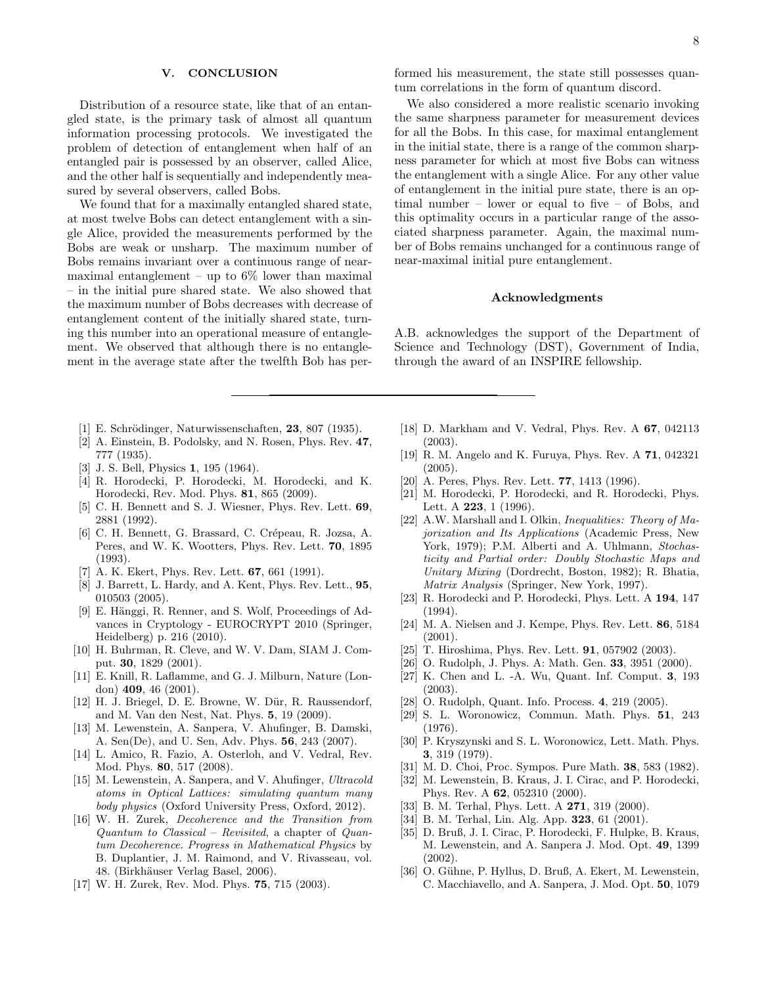# <span id="page-7-22"></span>V. CONCLUSION

Distribution of a resource state, like that of an entangled state, is the primary task of almost all quantum information processing protocols. We investigated the problem of detection of entanglement when half of an entangled pair is possessed by an observer, called Alice, and the other half is sequentially and independently measured by several observers, called Bobs.

We found that for a maximally entangled shared state, at most twelve Bobs can detect entanglement with a single Alice, provided the measurements performed by the Bobs are weak or unsharp. The maximum number of Bobs remains invariant over a continuous range of nearmaximal entanglement – up to  $6\%$  lower than maximal – in the initial pure shared state. We also showed that the maximum number of Bobs decreases with decrease of entanglement content of the initially shared state, turning this number into an operational measure of entanglement. We observed that although there is no entanglement in the average state after the twelfth Bob has per-

- <span id="page-7-0"></span>[1] E. Schrödinger, Naturwissenschaften, **23**, 807 (1935).
- <span id="page-7-1"></span>[2] A. Einstein, B. Podolsky, and N. Rosen, Phys. Rev. 47, 777 (1935).
- <span id="page-7-2"></span>[3] J. S. Bell, Physics 1, 195 (1964).
- <span id="page-7-3"></span>[4] R. Horodecki, P. Horodecki, M. Horodecki, and K. Horodecki, Rev. Mod. Phys. 81, 865 (2009).
- <span id="page-7-4"></span>[5] C. H. Bennett and S. J. Wiesner, Phys. Rev. Lett. 69, 2881 (1992).
- <span id="page-7-5"></span>[6] C. H. Bennett, G. Brassard, C. Crépeau, R. Jozsa, A. Peres, and W. K. Wootters, Phys. Rev. Lett. 70, 1895 (1993).
- <span id="page-7-6"></span>[7] A. K. Ekert, Phys. Rev. Lett.  $67, 661$  (1991).
- [8] J. Barrett, L. Hardy, and A. Kent, Phys. Rev. Lett., **95**, 010503 (2005).
- <span id="page-7-7"></span>[9] E. Hänggi, R. Renner, and S. Wolf, Proceedings of Advances in Cryptology - EUROCRYPT 2010 (Springer, Heidelberg) p. 216 (2010).
- <span id="page-7-8"></span>[10] H. Buhrman, R. Cleve, and W. V. Dam, SIAM J. Comput. 30, 1829 (2001).
- <span id="page-7-9"></span>[11] E. Knill, R. Laflamme, and G. J. Milburn, Nature (London) 409, 46 (2001).
- <span id="page-7-10"></span>[12] H. J. Briegel, D. E. Browne, W. Dür, R. Raussendorf, and M. Van den Nest, Nat. Phys. 5, 19 (2009).
- <span id="page-7-11"></span>[13] M. Lewenstein, A. Sanpera, V. Ahufinger, B. Damski, A. Sen(De), and U. Sen, Adv. Phys. 56, 243 (2007).
- [14] L. Amico, R. Fazio, A. Osterloh, and V. Vedral, Rev. Mod. Phys. 80, 517 (2008).
- <span id="page-7-12"></span>[15] M. Lewenstein, A. Sanpera, and V. Ahufinger, Ultracold atoms in Optical Lattices: simulating quantum many body physics (Oxford University Press, Oxford, 2012).
- <span id="page-7-13"></span>[16] W. H. Zurek, Decoherence and the Transition from Quantum to Classical – Revisited, a chapter of Quantum Decoherence. Progress in Mathematical Physics by B. Duplantier, J. M. Raimond, and V. Rivasseau, vol. 48. (Birkhäuser Verlag Basel, 2006).
- [17] W. H. Zurek, Rev. Mod. Phys. 75, 715 (2003).

formed his measurement, the state still possesses quantum correlations in the form of quantum discord.

We also considered a more realistic scenario invoking the same sharpness parameter for measurement devices for all the Bobs. In this case, for maximal entanglement in the initial state, there is a range of the common sharpness parameter for which at most five Bobs can witness the entanglement with a single Alice. For any other value of entanglement in the initial pure state, there is an optimal number – lower or equal to five – of Bobs, and this optimality occurs in a particular range of the associated sharpness parameter. Again, the maximal number of Bobs remains unchanged for a continuous range of near-maximal initial pure entanglement.

### Acknowledgments

A.B. acknowledges the support of the Department of Science and Technology (DST), Government of India, through the award of an INSPIRE fellowship.

- [18] D. Markham and V. Vedral, Phys. Rev. A 67, 042113 (2003).
- <span id="page-7-14"></span>[19] R. M. Angelo and K. Furuya, Phys. Rev. A 71, 042321 (2005).
- <span id="page-7-15"></span>[20] A. Peres, Phys. Rev. Lett. **77**, 1413 (1996).
- <span id="page-7-16"></span>[21] M. Horodecki, P. Horodecki, and R. Horodecki, Phys. Lett. A **223**, 1 (1996).
- <span id="page-7-17"></span>[22] A.W. Marshall and I. Olkin, *Inequalities: Theory of Ma*jorization and Its Applications (Academic Press, New York, 1979); P.M. Alberti and A. Uhlmann, Stochasticity and Partial order: Doubly Stochastic Maps and Unitary Mixing (Dordrecht, Boston, 1982); R. Bhatia, Matrix Analysis (Springer, New York, 1997).
- [23] R. Horodecki and P. Horodecki, Phys. Lett. A 194, 147 (1994).
- [24] M. A. Nielsen and J. Kempe, Phys. Rev. Lett. 86, 5184 (2001).
- <span id="page-7-18"></span>[25] T. Hiroshima, Phys. Rev. Lett. **91**, 057902 (2003).
- <span id="page-7-19"></span>[26] O. Rudolph, J. Phys. A: Math. Gen. **33**, 3951 (2000).
- [27] K. Chen and L. -A. Wu, Quant. Inf. Comput. 3, 193 (2003).
- <span id="page-7-20"></span>[28] O. Rudolph, Quant. Info. Process. 4, 219 (2005).
- <span id="page-7-21"></span>[29] S. L. Woronowicz, Commun. Math. Phys. 51, 243 (1976).
- <span id="page-7-23"></span>[30] P. Kryszynski and S. L. Woronowicz, Lett. Math. Phys. 3, 319 (1979).
- [31] M. D. Choi, Proc. Sympos. Pure Math. 38, 583 (1982).
- <span id="page-7-24"></span>[32] M. Lewenstein, B. Kraus, J. I. Cirac, and P. Horodecki, Phys. Rev. A 62, 052310 (2000).
- [33] B. M. Terhal, Phys. Lett. A **271**, 319 (2000).
- [34] B. M. Terhal, Lin. Alg. App. 323, 61 (2001).
- [35] D. Bruß, J. I. Cirac, P. Horodecki, F. Hulpke, B. Kraus, M. Lewenstein, and A. Sanpera J. Mod. Opt. 49, 1399 (2002).
- <span id="page-7-25"></span>[36] O. Gühne, P. Hyllus, D. Bruß, A. Ekert, M. Lewenstein, C. Macchiavello, and A. Sanpera, J. Mod. Opt. 50, 1079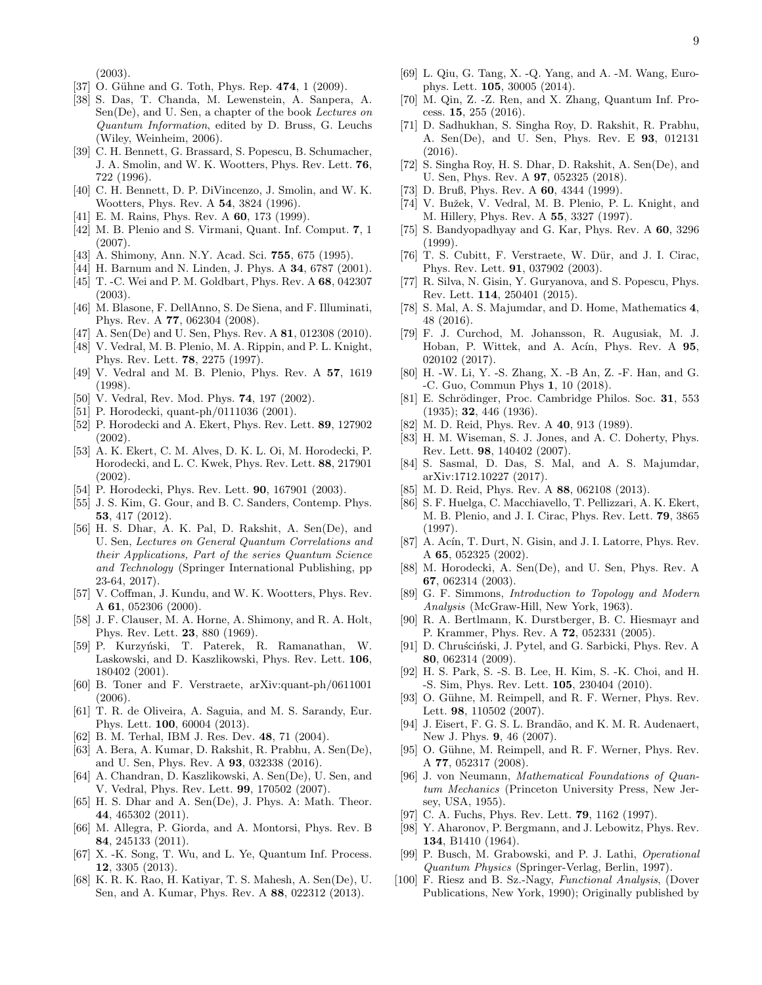(2003).

- <span id="page-8-35"></span>[37] O. Gühne and G. Toth, Phys. Rep. 474, 1 (2009).
- <span id="page-8-0"></span>[38] S. Das, T. Chanda, M. Lewenstein, A. Sanpera, A. Sen(De), and U. Sen, a chapter of the book Lectures on Quantum Information, edited by D. Bruss, G. Leuchs (Wiley, Weinheim, 2006).
- <span id="page-8-1"></span>[39] C. H. Bennett, G. Brassard, S. Popescu, B. Schumacher, J. A. Smolin, and W. K. Wootters, Phys. Rev. Lett. 76, 722 (1996).
- <span id="page-8-3"></span>[40] C. H. Bennett, D. P. DiVincenzo, J. Smolin, and W. K. Wootters, Phys. Rev. A 54, 3824 (1996).
- [41] E. M. Rains, Phys. Rev. A **60**, 173 (1999).
- <span id="page-8-2"></span>[42] M. B. Plenio and S. Virmani, Quant. Inf. Comput. 7, 1 (2007).
- <span id="page-8-4"></span>[43] A. Shimony, Ann. N.Y. Acad. Sci. 755, 675 (1995).
- [44] H. Barnum and N. Linden, J. Phys. A **34**, 6787 (2001).
- [45] T. -C. Wei and P. M. Goldbart, Phys. Rev. A 68, 042307 (2003).
- [46] M. Blasone, F. DellAnno, S. De Siena, and F. Illuminati, Phys. Rev. A 77, 062304 (2008).
- <span id="page-8-5"></span>[47] A. Sen(De) and U. Sen, Phys. Rev. A 81, 012308 (2010).
- <span id="page-8-6"></span>[48] V. Vedral, M. B. Plenio, M. A. Rippin, and P. L. Knight, Phys. Rev. Lett. 78, 2275 (1997).
- [49] V. Vedral and M. B. Plenio, Phys. Rev. A 57, 1619 (1998).
- <span id="page-8-7"></span>[50] V. Vedral, Rev. Mod. Phys. **74**, 197 (2002).
- <span id="page-8-8"></span>[51] P. Horodecki, quant-ph/0111036 (2001).
- [52] P. Horodecki and A. Ekert, Phys. Rev. Lett. 89, 127902 (2002).
- [53] A. K. Ekert, C. M. Alves, D. K. L. Oi, M. Horodecki, P. Horodecki, and L. C. Kwek, Phys. Rev. Lett. 88, 217901 (2002).
- <span id="page-8-9"></span>[54] P. Horodecki, Phys. Rev. Lett. **90**, 167901 (2003).
- <span id="page-8-10"></span>[55] J. S. Kim, G. Gour, and B. C. Sanders, Contemp. Phys. 53, 417 (2012).
- <span id="page-8-11"></span>[56] H. S. Dhar, A. K. Pal, D. Rakshit, A. Sen(De), and U. Sen, Lectures on General Quantum Correlations and their Applications, Part of the series Quantum Science and Technology (Springer International Publishing, pp 23-64, 2017).
- <span id="page-8-12"></span>[57] V. Coffman, J. Kundu, and W. K. Wootters, Phys. Rev. A 61, 052306 (2000).
- <span id="page-8-13"></span>[58] J. F. Clauser, M. A. Horne, A. Shimony, and R. A. Holt, Phys. Rev. Lett. 23, 880 (1969).
- <span id="page-8-14"></span>[59] P. Kurzyński, T. Paterek, R. Ramanathan, W. Laskowski, and D. Kaszlikowski, Phys. Rev. Lett. 106, 180402 (2001).
- [60] B. Toner and F. Verstraete, arXiv:quant-ph/0611001 (2006).
- <span id="page-8-15"></span>[61] T. R. de Oliveira, A. Saguia, and M. S. Sarandy, Eur. Phys. Lett. 100, 60004 (2013).
- <span id="page-8-16"></span>[62] B. M. Terhal, IBM J. Res. Dev. 48, 71 (2004).
- <span id="page-8-17"></span>[63] A. Bera, A. Kumar, D. Rakshit, R. Prabhu, A. Sen(De), and U. Sen, Phys. Rev. A 93, 032338 (2016).
- <span id="page-8-18"></span>[64] A. Chandran, D. Kaszlikowski, A. Sen(De), U. Sen, and V. Vedral, Phys. Rev. Lett. 99, 170502 (2007).
- [65] H. S. Dhar and A. Sen(De), J. Phys. A: Math. Theor. 44, 465302 (2011).
- [66] M. Allegra, P. Giorda, and A. Montorsi, Phys. Rev. B 84, 245133 (2011).
- [67] X. -K. Song, T. Wu, and L. Ye, Quantum Inf. Process. 12, 3305 (2013).
- [68] K. R. K. Rao, H. Katiyar, T. S. Mahesh, A. Sen(De), U. Sen, and A. Kumar, Phys. Rev. A 88, 022312 (2013).
- [69] L. Qiu, G. Tang, X. -Q. Yang, and A. -M. Wang, Europhys. Lett. 105, 30005 (2014).
- [70] M. Qin, Z. -Z. Ren, and X. Zhang, Quantum Inf. Process. 15, 255 (2016).
- [71] D. Sadhukhan, S. Singha Roy, D. Rakshit, R. Prabhu, A. Sen(De), and U. Sen, Phys. Rev. E 93, 012131 (2016).
- <span id="page-8-19"></span>[72] S. Singha Roy, H. S. Dhar, D. Rakshit, A. Sen(De), and U. Sen, Phys. Rev. A 97, 052325 (2018).
- <span id="page-8-20"></span>[73] D. Bruß, Phys. Rev. A **60**, 4344 (1999).
- <span id="page-8-21"></span>[74] V. Bužek, V. Vedral, M. B. Plenio, P. L. Knight, and M. Hillery, Phys. Rev. A 55, 3327 (1997).
- <span id="page-8-22"></span>[75] S. Bandyopadhyay and G. Kar, Phys. Rev. A 60, 3296 (1999).
- <span id="page-8-23"></span>[76] T. S. Cubitt, F. Verstraete, W. Dür, and J. I. Cirac, Phys. Rev. Lett. 91, 037902 (2003).
- <span id="page-8-24"></span>[77] R. Silva, N. Gisin, Y. Guryanova, and S. Popescu, Phys. Rev. Lett. 114, 250401 (2015).
- <span id="page-8-25"></span>[78] S. Mal, A. S. Majumdar, and D. Home, Mathematics 4, 48 (2016).
- <span id="page-8-26"></span>[79] F. J. Curchod, M. Johansson, R. Augusiak, M. J. Hoban, P. Wittek, and A. Acín, Phys. Rev. A 95, 020102 (2017).
- <span id="page-8-27"></span>[80] H. -W. Li, Y. -S. Zhang, X. -B An, Z. -F. Han, and G. -C. Guo, Commun Phys 1, 10 (2018).
- <span id="page-8-28"></span>[81] E. Schrödinger, Proc. Cambridge Philos. Soc. 31, 553 (1935); 32, 446 (1936).
- [82] M. D. Reid, Phys. Rev. A 40, 913 (1989).
- <span id="page-8-29"></span>[83] H. M. Wiseman, S. J. Jones, and A. C. Doherty, Phys. Rev. Lett. 98, 140402 (2007).
- <span id="page-8-30"></span>[84] S. Sasmal, D. Das, S. Mal, and A. S. Majumdar, arXiv:1712.10227 (2017).
- <span id="page-8-31"></span>[85] M. D. Reid, Phys. Rev. A 88, 062108 (2013).
- <span id="page-8-32"></span>[86] S. F. Huelga, C. Macchiavello, T. Pellizzari, A. K. Ekert, M. B. Plenio, and J. I. Cirac, Phys. Rev. Lett. 79, 3865 (1997).
- [87] A. Acín, T. Durt, N. Gisin, and J. I. Latorre, Phys. Rev. A 65, 052325 (2002).
- <span id="page-8-33"></span>[88] M. Horodecki, A. Sen(De), and U. Sen, Phys. Rev. A 67, 062314 (2003).
- <span id="page-8-34"></span>[89] G. F. Simmons, Introduction to Topology and Modern Analysis (McGraw-Hill, New York, 1963).
- <span id="page-8-36"></span>[90] R. A. Bertlmann, K. Durstberger, B. C. Hiesmayr and P. Krammer, Phys. Rev. A 72, 052331 (2005).
- <span id="page-8-37"></span>[91] D. Chruściński, J. Pytel, and G. Sarbicki, Phys. Rev. A 80, 062314 (2009).
- <span id="page-8-38"></span>[92] H. S. Park, S. -S. B. Lee, H. Kim, S. -K. Choi, and H. -S. Sim, Phys. Rev. Lett. 105, 230404 (2010).
- <span id="page-8-39"></span>[93] O. Gühne, M. Reimpell, and R. F. Werner, Phys. Rev. Lett. 98, 110502 (2007).
- <span id="page-8-40"></span>[94] J. Eisert, F. G. S. L. Brandão, and K. M. R. Audenaert, New J. Phys. 9, 46 (2007).
- <span id="page-8-41"></span>[95] O. Gühne, M. Reimpell, and R. F. Werner, Phys. Rev. A 77, 052317 (2008).
- <span id="page-8-42"></span>[96] J. von Neumann, Mathematical Foundations of Quantum Mechanics (Princeton University Press, New Jersey, USA, 1955).
- <span id="page-8-43"></span>[97] C. A. Fuchs, Phys. Rev. Lett. **79**, 1162 (1997).
- <span id="page-8-44"></span>[98] Y. Aharonov, P. Bergmann, and J. Lebowitz, Phys. Rev. 134, B1410 (1964).
- <span id="page-8-45"></span>[99] P. Busch, M. Grabowski, and P. J. Lathi, Operational Quantum Physics (Springer-Verlag, Berlin, 1997).
- <span id="page-8-46"></span>[100] F. Riesz and B. Sz.-Nagy, Functional Analysis, (Dover Publications, New York, 1990); Originally published by